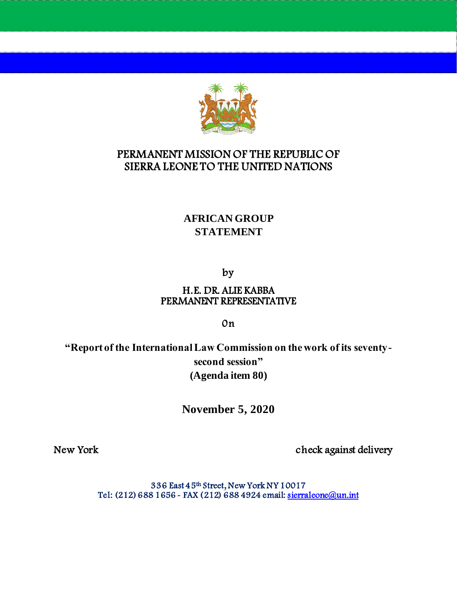

# PERMANENT MISSION OF THE REPUBLIC OF SIERRA LEONE TO THE UNITED NATIONS

# **AFRICAN GROUP STATEMENT**

by

#### H.E. DR. ALIE KABBA PERMANENT REPRESENTATIVE

0n

**"Report of the International Law Commission on the work of its seventysecond session" (Agenda item 80)**

**November 5, 2020**

New York check against delivery

336 East 45th Street, New York NY 10017 Tel: (212) 688 1656 - FAX (212) 688 4924 email: sierraleone@un.int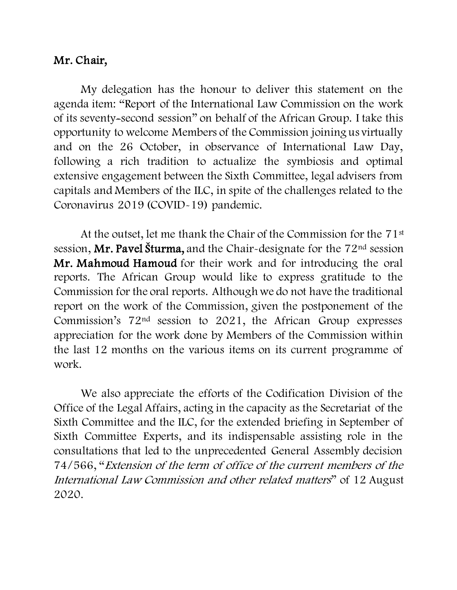### Mr. Chair,

My delegation has the honour to deliver this statement on the agenda item: "Report of the International Law Commission on the work of its seventy-second session" on behalf of the African Group. I take this opportunity to welcome Members of the Commission joining us virtually and on the 26 October, in observance of International Law Day, following a rich tradition to actualize the symbiosis and optimal extensive engagement between the Sixth Committee, legal advisers from capitals and Members of the ILC, in spite of the challenges related to the Coronavirus 2019 (COVID-19) pandemic.

At the outset, let me thank the Chair of the Commission for the 71st session, Mr. Pavel Šturma, and the Chair-designate for the  $72<sup>nd</sup>$  session Mr. Mahmoud Hamoud for their work and for introducing the oral reports. The African Group would like to express gratitude to the Commission for the oral reports. Although we do not have the traditional report on the work of the Commission, given the postponement of the Commission's 72nd session to 2021, the African Group expresses appreciation for the work done by Members of the Commission within the last 12 months on the various items on its current programme of work.

We also appreciate the efforts of the Codification Division of the Office of the Legal Affairs, acting in the capacity as the Secretariat of the Sixth Committee and the ILC, for the extended briefing in September of Sixth Committee Experts, and its indispensable assisting role in the consultations that led to the unprecedented General Assembly decision 74/566, "Extension of the term of office of the current members of the International Law Commission and other related matters" of 12 August 2020.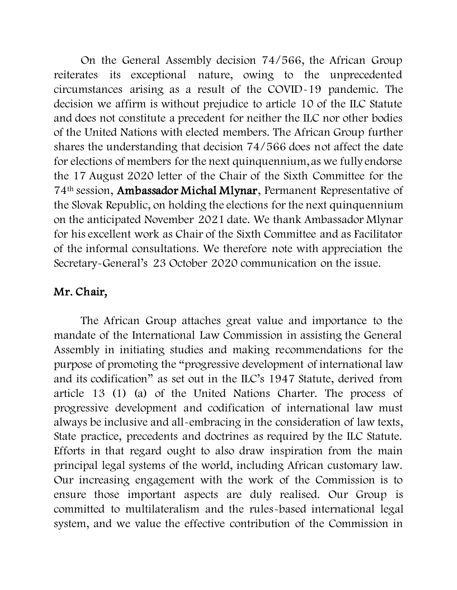On the General Assembly decision 74/566, the African Group reiterates its exceptional nature, owing to the unprecedented circumstances arising as a result of the COVID-19 pandemic. The decision we affirm is without prejudice to article 10 of the ILC Statute and does not constitute a precedent for neither the ILC nor other bodies of the United Nations with elected members. The African Group further shares the understanding that decision 74/566 does not affect the date for elections of members for the next quinquennium, as we fully endorse the 17 August 2020 letter of the Chair of the Sixth Committee for the 74th session, Ambassador Michal Mlynar, Permanent Representative of the Slovak Republic, on holding the elections for the next quinquennium on the anticipated November 2021 date. We thank Ambassador Mlynar for his excellent work as Chair of the Sixth Committee and as Facilitator of the informal consultations. We therefore note with appreciation the Secretary-General's 23 October 2020 communication on the issue.

# Mr. Chair,

The African Group attaches great value and importance to the mandate of the International Law Commission in assisting the General Assembly in initiating studies and making recommendations for the purpose of promoting the "progressive development of international law and its codification" as set out in the ILC's 1947 Statute, derived from article 13 (1) (a) of the United Nations Charter. The process of progressive development and codification of international law must always be inclusive and all-embracing in the consideration of law texts, State practice, precedents and doctrines as required by the ILC Statute. Efforts in that regard ought to also draw inspiration from the main principal legal systems of the world, including African customary law. Our increasing engagement with the work of the Commission is to ensure those important aspects are duly realised. Our Group is committed to multilateralism and the rules-based international legal system, and we value the effective contribution of the Commission in